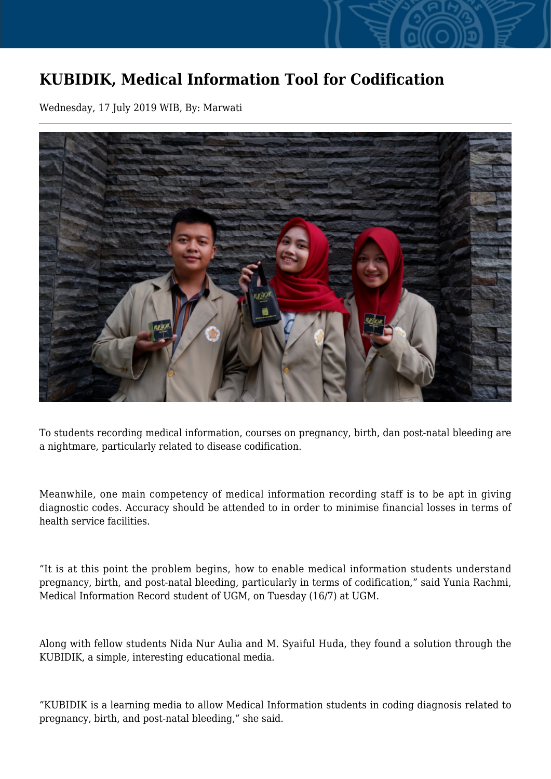## **KUBIDIK, Medical Information Tool for Codification**

Wednesday, 17 July 2019 WIB, By: Marwati



To students recording medical information, courses on pregnancy, birth, dan post-natal bleeding are a nightmare, particularly related to disease codification.

Meanwhile, one main competency of medical information recording staff is to be apt in giving diagnostic codes. Accuracy should be attended to in order to minimise financial losses in terms of health service facilities.

"It is at this point the problem begins, how to enable medical information students understand pregnancy, birth, and post-natal bleeding, particularly in terms of codification," said Yunia Rachmi, Medical Information Record student of UGM, on Tuesday (16/7) at UGM.

Along with fellow students Nida Nur Aulia and M. Syaiful Huda, they found a solution through the KUBIDIK, a simple, interesting educational media.

"KUBIDIK is a learning media to allow Medical Information students in coding diagnosis related to pregnancy, birth, and post-natal bleeding," she said.